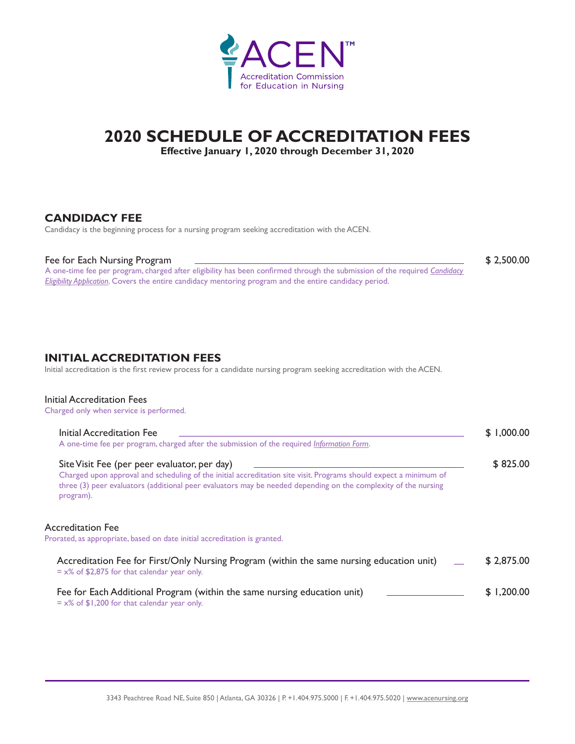

# **2020 SCHEDULE OF ACCREDITATION FEES**

**Effective January 1, 2020 through December 31, 2020**

### **CANDIDACY FEE**

Candidacy is the beginning process for a nursing program seeking accreditation with the ACEN.

#### Fee for Each Nursing Program \$ 2,500.00

A one-time fee per program, charged after eligibility has been confirmed through the submission of the required *[Candidacy](https://www.acenursing.org/resources-for-nursing-programs/resources-candidacy/)  [Eligibility Application](https://www.acenursing.org/resources-for-nursing-programs/resources-candidacy/)*. Covers the entire candidacy mentoring program and the entire candidacy period.

**INITIAL ACCREDITATION FEES** 

Initial accreditation is the first review process for a candidate nursing program seeking accreditation with the ACEN.

#### Initial Accreditation Fees

Charged only when service is performed.

| Initial Accreditation Fee<br>A one-time fee per program, charged after the submission of the required Information Form.                                                                                                                                                                          | \$1,000.00 |
|--------------------------------------------------------------------------------------------------------------------------------------------------------------------------------------------------------------------------------------------------------------------------------------------------|------------|
| Site Visit Fee (per peer evaluator, per day)<br>Charged upon approval and scheduling of the initial accreditation site visit. Programs should expect a minimum of<br>three (3) peer evaluators (additional peer evaluators may be needed depending on the complexity of the nursing<br>program). | \$825.00   |
| Accreditation Fee<br>Prorated, as appropriate, based on date initial accreditation is granted.                                                                                                                                                                                                   |            |
| Accreditation Fee for First/Only Nursing Program (within the same nursing education unit)<br>$= x\%$ of \$2,875 for that calendar year only.                                                                                                                                                     | \$2,875.00 |
| Fee for Each Additional Program (within the same nursing education unit)<br>$= x\%$ of \$1,200 for that calendar year only.                                                                                                                                                                      | \$1,200.00 |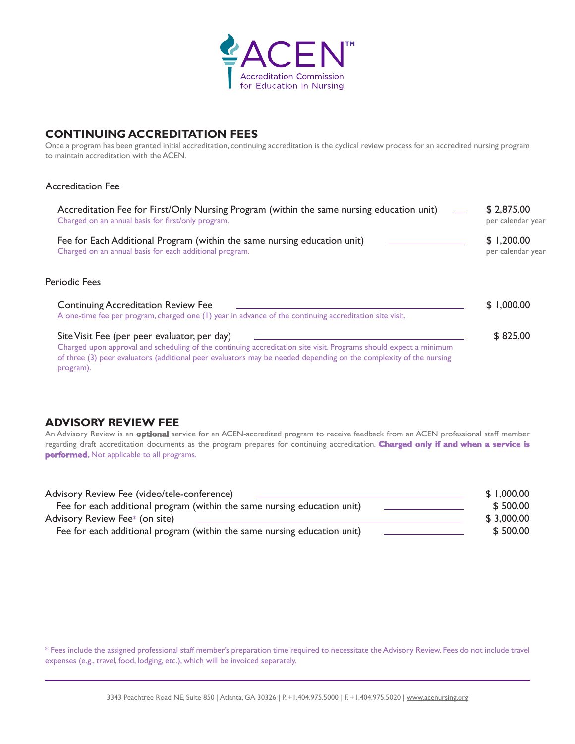

# **CONTINUING ACCREDITATION FEES**

Once a program has been granted initial accreditation, continuing accreditation is the cyclical review process for an accredited nursing program to maintain accreditation with the ACEN.

#### Accreditation Fee

| Accreditation Fee for First/Only Nursing Program (within the same nursing education unit)<br>Charged on an annual basis for first/only program.                                                                                                                                                     | \$2,875.00<br>per calendar year |
|-----------------------------------------------------------------------------------------------------------------------------------------------------------------------------------------------------------------------------------------------------------------------------------------------------|---------------------------------|
| Fee for Each Additional Program (within the same nursing education unit)<br>Charged on an annual basis for each additional program.                                                                                                                                                                 | \$1,200.00<br>per calendar year |
| <b>Periodic Fees</b>                                                                                                                                                                                                                                                                                |                                 |
| <b>Continuing Accreditation Review Fee</b><br>A one-time fee per program, charged one (1) year in advance of the continuing accreditation site visit.                                                                                                                                               | \$1,000.00                      |
| Site Visit Fee (per peer evaluator, per day)<br>Charged upon approval and scheduling of the continuing accreditation site visit. Programs should expect a minimum<br>of three (3) peer evaluators (additional peer evaluators may be needed depending on the complexity of the nursing<br>program). | \$825.00                        |

## **ADVISORY REVIEW FEE**

An Advisory Review is an **optional** service for an ACEN-accredited program to receive feedback from an ACEN professional staff member regarding draft accreditation documents as the program prepares for continuing accreditation. **Charged only if and when a service is performed.** Not applicable to all programs.

| Advisory Review Fee (video/tele-conference)                              | \$1,000.00 |
|--------------------------------------------------------------------------|------------|
| Fee for each additional program (within the same nursing education unit) | \$500.00   |
| Advisory Review Fee* (on site)                                           | \$3,000.00 |
| Fee for each additional program (within the same nursing education unit) | \$500.00   |

\* Fees include the assigned professional staff member's preparation time required to necessitate the Advisory Review. Fees do not include travel expenses (e.g., travel, food, lodging, etc.), which will be invoiced separately.